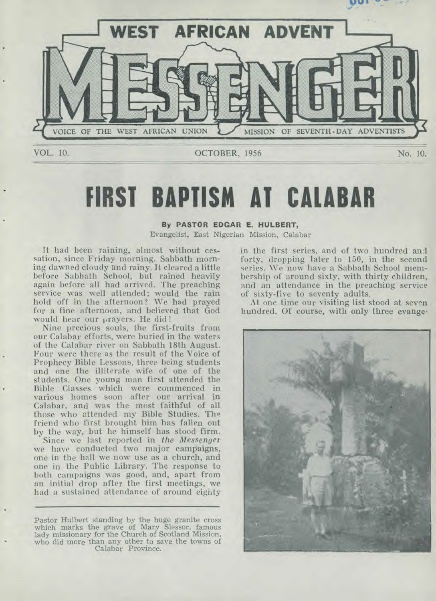

## **FIRST BAPTISM AT CALABAR**

### **By PASTOR EDGAR E. HULBERT,**

Evangelist, East Nigerian Mission, Calabar

It had been raining, almost without cessation, since Friday morning. Sabbath morning dawned cloudy and rainy. It cleared a little before Sabbath School, but rained heavily again before all had arrived. The preaching service was well attended; would the rain hold off in the afternoon? We had prayed for a fine afternoon, and believed that God would hear our prayers. He did!

Nine precious souls, the first-fruits from our Calabar efforts, were buried in the waters of the Calabar river on Sabbath 18th August. Four were there as the result of the Voice of Prophecy Bible Lessons, three being students and one the illiterate wife of one of the students. One young man first attended the Bible Classes which were commenced in various homes soon after our arrival in Calabar, and was the most faithful of all those who attended my Bible Studies. The friend who first brought him has fallen out by the way, but he himself has stood firm.

Since we last reported in *the Messenger*  we have conducted two major campaigns, one in the hall we now use as a church, and one in the Public Library. The response to both campaigns was good, and, apart from an initial drop after the first meetings, we had a sustained attendance of around eighty

Pastor Hulbert standing by the huge granite cross which marks the grave of Mary Slessor, famous lady missionary for the Church of Scotland Mission, who did more than any other to save the towns of Calabar Province.

in the first series, and of two hundred and forty, dropping later to 150, in the second series. We now have a Sabbath School membership of around sixty, with thirty children, and an attendance in the preaching service of sixty-five to seventy adults.

At one time our visiting list stood at seven hundred. Of course, with only three evange•

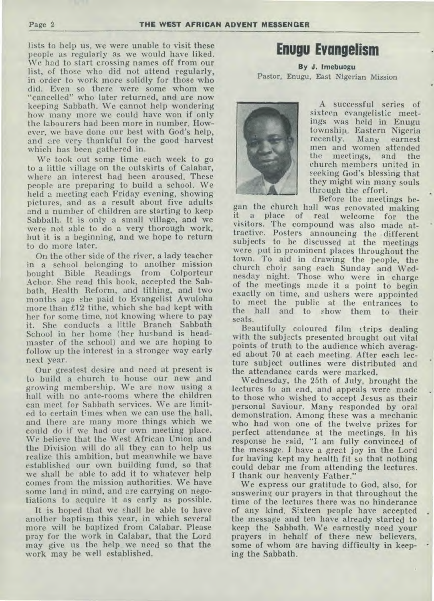lists to help us, we were unable to visit these people as regularly as we would have liked. We had to start crossing names off from our list, of those who did not attend regularly, in order to work more solidly for those who did. Even so there were some whom we "cancelled" who later returned, and are now keeping Sabbath. We cannot help wondering how many more we could have won if only the labourers had been more in number. However, we have done our best with God's help, and are very thankful for the good harvest which has been gathered in.

We took out some time each week to go to a little village on the outskirts of Calabar, where an interest had been aroused. These people are preparing to build a school. We held a meeting each Friday evening, showing pictures, and as a result about five adults and a number of children are starting to keep Sabbath. It is only a small village, and we were not able to do a very thorough work, but it is a beginning, and we hope to return to do more later.

On the other side of the river, a lady teacher in a school belonging to another mission bought Bible Readings from Colporteur Achor. She read this book, accepted the Sabbath, Health Reform, and tithing, and two months ago she paid to Evangelist Awuloha more than £12 tithe, which she had kept with her for some time, not knowing where to pay it. She conducts a little Branch Sabbath School in her home (her husband is headmaster of the school) and we are hoping to follow up the interest in a stronger way early next year.

Our greatest desire and need at present is to build a church to house our new and growing membership. We are now using a hall with no ante-rooms where the children can meet for Sabbath services. We are limited to certain times when we can use the hall, and there are many more things which we could do if we had our own meeting place. We believe that the West African Union and the Division will do all they can to help us realize this ambition, but meanwhile we have established our own building fund, so that we shall be able to add it to whatever help comes from the mission authorities. We have some land in mind, and are carrying on negotiations to acquire it as early as possible.

It is hoped that we shall be able to have another baptism this year, in which several more will be baptized from Calabar. Please pray for the work in Calabar, that the Lord may give us the help we need so that the work may be well established.

## **Enugu Evangelism**

**By J. Imebuogu**  Pastor, Enugu, East Nigerian Mission



A successful series of sixteen evangelistic meetings was held in Enugu township, Eastern Nigeria Many earnest men and women attended the meetings, and the church members united in seeking God's blessing that they might win many souls through the effort.

Before the meetings began the church hall was renovated making it a place of real welcome for the visitors. The compound was also made attractive. Posters announcing the different subjects to be discussed at the meetings were put in prominent places throughout the town. To aid in drawing the people, the church choir sang each Sunday and Wednesday night. Those who were in charge of the meetings made it a point to begin exactly on time, and ushers were appointed to meet the public at the entrances to the hall and to show them to their seats.

Beautifully coloured film strips dealing with the subjects presented brought out vital points of truth to the audience which averaged about 70 at each meeting. After each lecture subject outlines were distributed and the attendance cards were marked.

Wednesday, the 25th of July, brought the lectures to an end, and appeals were made to those who wished to accept Jesus as their personal Saviour. Many responded by oral demonstration. Among these was a mechanic who had won one of the twelve prizes for perfect attendance at the meetings. In his response he said, "I am fully convinced of the message. I have a great joy in the Lord for having kept my health fit so that nothing could debar me from attending the lectures. I thank our heavenly Father."

We express our gratitude to God, also, for answering our prayers in that throughout the time of the lectures there was no hinderance of any kind. Sixteen people have accepted the message and ten have already started to keep the Sabbath. We earnestly need your prayers in behalf of these new believers, some of whom are having difficulty in keeping the Sabbath.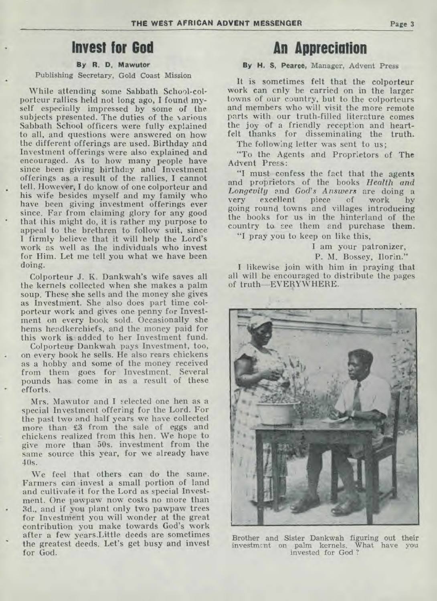### **Invest for God**

### **By R. D. Mawutor**

### Publishing Secretary, Gold Coast Mission

While attending some Sabbath School-colporteur rallies held not long ago, I found myself especially impressed by some of the subjects presented. The duties of the various Sabbath School officers were fully explained to all, and questions were answered on how the different offerings are used. Birthday and Investment offerings were also explained and encouraged. As to how many people have since been giving birthday and Investment offerings as a result of the rallies, I cannot tell. However, I do know of one colporteur and his wife besides myself and my family who have been giving investment offerings ever since. Far from claiming glory for any good that this might do, it is rather my purpose to appeal to the brethren to follow suit, since I firmly believe that it will help the Lord's work as well as the individuals who invest for Him. Let me tell you what we have been doing.

Colporteur J. K. Dankwah's wife saves all the kernels collected when she makes a palm soup. These she sells and the money she gives as Investment. She also does part time colporteur work and gives one penny for Investment on every book sold. Occasionally she hems headkerchiefs, and the money paid for this work is added to her Investment fund.

Colportenr Dankwah pays Investment, too, on every book he sells. He also rears chickens as a hobby and some of the money received from them goes for Investment. Several pounds has come in as a result of these efforts.

Mrs. Mawutor and **I** selected one hen as a special Investment offering for the Lord. For the past two and half years we have collected more than £3 from the sale of eggs and chickens realized from this hen. We hope to give more than 50s. investment from the same source this year, for we already have  $40s.$ 

We feel that others can do the same. Farmers can invest a small portion of land and cultivate it for the Lord as special Investment. One pawpaw now costs no more than • 3d., and if you plant only two pawpaw trees for Investment you will wonder at the great contribution you make towards God's work after a few years.Little deeds are sometimes the greatest deeds. Let's get busy and invest for God.

### **An Appreciation**

### **By H. S. Pearce,** Manager, Advent Press

It is sometimes felt that the colporteur work can cnly be carried on in the larger towns of our country, but to the colporteurs and members who will visit the more remote parts with our truth-filled literature comes the joy of a friendly reception and heartfelt thanks for disseminating the **truth.** 

The following letter was sent to us;

"To the Agents and Proprietors of **The**  Advent Press:

"I must confess the fact that the agents and proprietors of the books *Health and Longevity* and *God's Answers* are doing a very excellent piece of going round towns and villages introducing the books for us in the hinterland of the country to. see them and purchase **them.** 

"I pray you to keep on like this,

I am your patronizer,

P. M. Bossey, Ilorin."

I likewise join with him in praying that all will be encouraged to distribute the pages of truth—EVERYWHERE.



Brother and Sister Dankwah figuring out their investment on palm kernels. What have you invested for God ?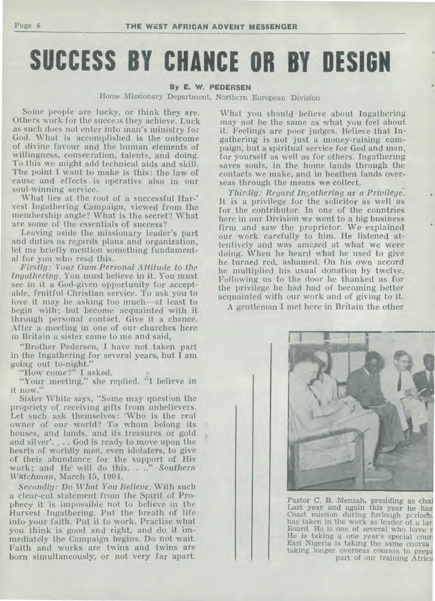# **SUCCESS BY CHANCE OR BY DESIGN**

### By E. W. PEDERSEN

Home Missionary Department, Northern European Division

Some people are lucky, or think they are. Others work for the success they achieve. Luck as such does not enter into man's ministry for God. What is accomplished is the outcome of divine favour and the human elements of willingness, consecration, talents, and doing. To this we might add technical aids and skill. The point I want to make is this: the law of cause and effects is operative also in our soul-winning service.

What lies at the root of a successful Har-' vest Ingathering Campaign, viewed from the membership angle? What is the secret'? What are some of the essentials of success?

Leaving aside the missionary leader's part and duties as regards plans and organization, let me briefly mention something fundamental for you who read this.

*-Firstly: Your Own Personal Attitude to the Ingathering.* You must believe in it. You must see in it a God-given opportunity for acceptable, fruitful Christian service. To ask you to love it may be asking too much—at least to begin with; but become acquainted with it through personal contact. Give it a chance. After a meeting in one of our churches here in Britain a sister came to me and said,

"Brother Pedersen, I have not taken part in the Ingathering for several years, but I am going out to-night."

"How come?" I asked.

"Your meeting," she replied. "I believe in it now."

Sister White says, "Some may question the propriety of receiving gifts from unbelievers. Let such ask themselves: 'Who is the real owner of our world? To whom belong its houses, and lands, and its treasures or gold and silver'. . . . God is ready to move upon the hearts of worldly men, even idolaters, to give of their abundance for the support of His work; and He will do this. . .." *Southern Watchman,* March, 15, 1904.

*Secondly: Do What You Believe.* With such a clear-cut statement from the Spirit of Prophecy it is impossible not to believe in the Harvest Ingathering. Put the breath of life into your faith. Put it to work. Practise what you think is good and right, and do it immediately the Campaign begins. Do not wait. Faith and works are twins and twins are born simultaneously, or not very far apart. What you should believe about Ingathering may not be the same as what you feel about it. Feelings are poor judges. Believe that Ingathering is not just a money-raising campaign, but a spiritual' service for God and man, for yourself as well as for others. Ingathering saves souls, in the home lands through the contacts we make, and in heathen lands overseas through the means we collect.

*Thirdly: Regard In.gathering as a Privilege.*  It is a privilege for the solicitor as well as for the contributor. In one of the countries here in our Division we went to a big business firm and saw the proprietor. We explained our work carefully to him. He listened attentively and was amazed at what we were doing. When he heard what he used to give he turned red, ashamed. On his own accord he multiplied his usual donation by twelve. Following us to the door he thanked us for the privilege he had had of becoming better acquainted with our work and of giving to it.

A gentleman I met here in Britain the other



Pastor C. B. Mensah, presiding as chai Last year and again this year he has Coast mission during furlough periods, has taken in the work as leader of a lar, Board. He is one of several who have r He is taking a one year's special court East Nigeria is taking the same course • taking longer overseas courses to preps part of our training Africa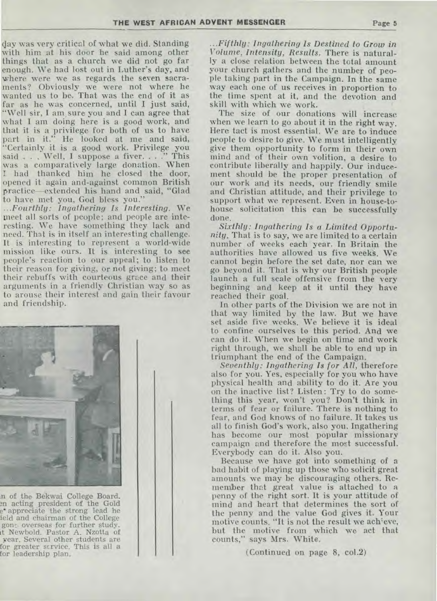day was very critical of what we did. Standing with him at his door he said among other things that as a church we did not go far enough. We had lost out in Luther's day, and where were we as regards the seven sacraments? Obviously we were not where he wanted us to be. That was the end of it as far as he was concerned, until I just said, "Well sir, I am, sure you and I can agree that what I am doing here is a good work, and that it is a privilege for both of us to have part in it." He looked at me and said, "Certainly it is a good work. Privilege you said . . . Well, I suppose a fiver. . . . " This said . . . Well, I suppose a fiver. . . ." This was a comparatively large donation. When I had thanked him he closed the door, opened it again and-against common British practice—extended his hand and said, "Glad to have met you, God bless you."

*...Fourthly: Ingathering Is Interesting. We*  meet all sorts of people; and people are interesting. We have something they lack and need. That is in itself an interesting challenge. It is interesting to represent a world-wide mission like ours. It is interesting to see people's reaction to our appeal; to listen to their reason for giving, or not giving; to meet their rebuffs with courteous grace and their arguments in a friendly Christian way so as to arouse their interest and gain their favour and friendship.



n of the Bekwai College Board. en acting president of the Gold e' appreciate the strong lead he ield and chairman of the College gone. overseas for further study. it Newbold. Pastor A. Nzotta of year. Several other students are for greater service. This is all a for leadership plan.

*...Fifthly: Ingathering Is Destined to Grow in Volume, Intensity, Results.* There is naturally a close relation between the total amount your church gathers and the number of people taking part in the Campaign. In the same way each one of us receives in proportion to the time spent at it, and the devotion and skill with which we work.

The size of our donations will increase when we learn to go about it in the right way. Here tact is most essential. We are to induce people to desire to give. We must intelligently, give them opportunity to form in their own mind and of their own volition, a desire to contribute liberally and happily. Our inducement should be the proper presentation of our work and its needs, our friendly smile and Christian attitude, and their privilege to support what we represent. Even in house-tohouse solicitation this can be successfully done.

*Sixthly: Ingathering Is a Limited Opportunity.* That is to say, we are limited to a certain number of weeks each year. In Britain the authorities have allowed us five weeks. We cannot begin before the set date, nor can we go beyond it. That is why our British people launch a full scale offensive from the very beginning and keep at it until they have reached their goal.

In other parts of the Division we are not in that way limited by the law. But we have set aside five weeks. We believe it is ideal to confine ourselves to this period. And we can do it. When we begin on time and work right through, we shall be able to end up in triumphant the end of the Campaign.

*Seventhly: Ingathering Is for All,* therefore also for you. Yes, especially for you who have physical health and ability to do it. Are you on the inactive list? Listen: Try to do something this year, won't you? Don't think in terms of fear or failure. There is nothing to fear, and God knows of no failure. It takes us all to finish God's work, also you. Ingathering has become our most popular missionary campaign and therefore the most successful. Everybody can do it. Also you.

Because we have got into something of a bad habit of playing up those who solicit great amounts we may be discouraging others. Remember that great value is attached to a penny of the right sort. It is your attitude of mind and heart that determines the sort of the penny and the value God gives it. Your motive counts. "It is not the result we achieve, but the motive from which we act that counts," says Mrs. White.

(Continued on page 8, co1.2)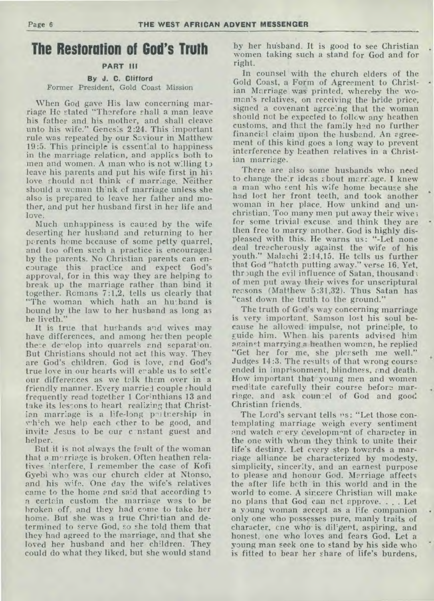### **The Restoration of God's Truth**

### **PART III**

#### By J. **C. Clifford**  Former President, Gold Coast Mission

When God gave His law concerning marriage He stated "Therefore shall a man leave his father and his mother, and shall cleave unto his wife." Genesis 2:24. This important rule was repeated by our Saviour in Matthew 19:5. This principle is essential to happiness in the marriage relation, and applies both to men and women. A man who is not willing to leave his parents and put his wife first in his love should not think cf marriage. Neither should a woman think of marriage unless she also is prepared to leave her father and mother, and put her husband first in her life and love.

Much unhappiness is caused by the wife deserting her husband and returning to her parents home because of some petty quarrel, and too often such a practice is encouraged by the parents. No Christian parents can encourage this practice and expect God's approval, for in this way they are helping to break up the marriage rather than bind it together. Romans 7:1,2, tells us clearly that "The woman which hath an husband is bound by the law to her husband as long as he liveth."

It is true that husbands and wives may have differences, and among her then people there develop into quarrels and separation. But Christians should not act this way. They are God's children. God is love, rnd God's true love in our hearts will erable us to settle our differences as we talk them over in a friendly manner. Every married couple should frequently read together 1 Corinthians 13 and take its lessons to heart realizing that Christian marriage is a life-long putnership in which we help each ether to be good, and invite Jesus to be our c-nstant guest and helper.

But it is not always the fault of the woman that a morriage is broken. Often heathen relatives interfere. I remember the case of Kofi Gyebi who was our church elder at Ntonso, and his wife. One day the wife's relatives came to the home and said that according to a certain custom the marriage was to be broken off, and they had come to take her home. But she was a true Christian and determined to serve God, so she told them that they had agreed to the marriage, and that she loved her husband and her children. They could do what they liked, but she would stand

by her husband. It is good to see Christian women taking such a stand for God and for right.

In counsel with the church elders of the Gold Coast, a Form of Agreement to Christian Marriage was printed, whereby the woman's relatives, on receiving the bride price, signed a covenant agreeing that the woman should not be expected to follow any heathen customs, and that the family had no further financial claim upon the husband. An agreement of this kind goes a long way to prevent interference by heathen relatives in a Christian marriage.

There are also some husbands who need to change their ideas about marriage. I knew a man who rent his wife home because she had lost her front teeth, and took another woman in her place. How unkind and unchristian. Too many men put away their wive for some trivial excuse, and think they are then free to marry another. God is highly displeased with this. He warns us: "-Let none deal treacherously against the wife of his youth." Malachi 2:14,15. He tells us further that God "hateth putting away." verse 16. Yet, through the evil influence of Satan, thousand; of men put away their wives for unscriptural reasons (Matthew 5:31,32). Thus Satan has "cast down the truth to the ground."

The truth of God's way concerning marriage is very important. Samson lost his soul because he allowed impulse, not principle, to guide him. When his parents advised him against marrying a heathen woman, he replied "Get her for me, she plerseth me well." Judges 14:3. The results of that wrong course ended in imprisonment, blindness, and death. How important that young men and women meditate carefully their course before marriage, and ask countel of God and good Christian friends.

The Lord's servant tells "s: "Let those contemplating marriage weigh every sentiment and watch every development of character in the one with whom they think to unite their life's destiny. Let every step towards a marriage alliance be characterized by modesty, simplicity, sincerity, and an earnest purpose to please and honour God. Marriage affects the after life both in this world and in the world to come. A sincere Christian will make no plans that God can nct approve. . . . Let a young woman accept as a life companion only one who possesses pure, manly traits of character, cne who is diligent, aspiring, and honest, one who loves and fears God. Let a young man seek one to stand by his side who is fitted to bear her share of life's burdens,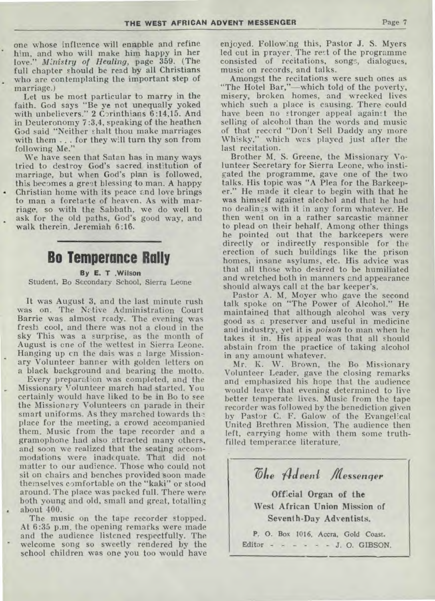one whose influence will ennpble and refine him, and who will make him happy in her love." *Ministry of Healing,* page 359. (The full chapter should be read by all Christians who are contemplating the important step of marriage.)

Let us be most particular to marry in the faith. God says "Be ye not unequally yoked with unbelievers." 2 Corinthians 6:14,15. And in Deuteronomy 7:3,4, speaking of the heathen God said "Neither shalt thou make marriages with them .. . for they will turn thy son from following Me."

We have seen that Satan has in many ways tried to destroy God's sacred institution of marriage, but when God's plan is followed, this becomes a great blessing to man. A happy Christian home with its peace and love brings to man a foretaste of heaven. As with marriage, so with the Sabbath, we do well to ask for the old paths, God's good way, and walk therein. Jeremiah 6:16.

### **Bo Temperance Rally**

**By E. T .Wilson**  Student, Bo Secondary School, Sierra Leone

It was August 3, and the last minute rush was on. The Native Administration Court Barrie was almost ready. The evening was fresh cool, and there was not a cloud in the sky This was a surprise, as the month of August is one of the wettest in Sierra Leone. Hanging up cn the dais was a large Missionary Volunteer banner with golden letters on a black background and bearing the motto.

Every preparation was completed, and the Missionary Volunteer march had started. You certainly would have liked to be in Bo to see the Missionary Volunteers on parade in their smart uniforms. As they marched towards the place for the meeting, a crowd accompanied them. Music from the tape recorder and a gramophone had also attracted many others, and soon we realized that the seating accommodations were inadequate. That did not matter to our audience. Those who could not sit on chairs and benches provided soon made themselves comfortable on the "kaki" or stood around. The place was packed full. There were both young and old, small and great, totalling about 400.

The music on the tape recorder stopped. At 6:35 p.m. the opening remarks were made and the audience listened respectfully. The welcome song so sweetly rendered by the school children was one you too would have enjoyed. Following this, Pastor J. S. Myers led cut in prayer. The rest of the programme consisted of recitations, songs, dialogues, music on records, and talks.

Amongst the recitations were such ones as "The Hotel Bar,"—which told of the poverty, misery, broken homes, and wrecked lives which such a place is causing. There could have been no stronger appeal against 'the selling of alcohol than the words and music of that record "Don't Sell Daddy any more Whisky," which was played just after the last recitation.

Brother M. S. Greene, the Missionary Volunteer Secretary for Sierra Leone, who instigated the programme, gave one of the two talks. His topic was "A Plea for the Barkeeper." He made it clear to begin with that he was himself against alcohol and that he had no dealinzs with it in any form whatever. He then went on in a rather sarcastic manner to plead on their behalf. Among other things he pointed out that the barkeepers were directly or indirectly responsible for the erection of such buildings like the prison homes, insane asylums, etc. His advice was that all those who desired to be humiliated and wretched both in manners and appearance should always call at the bar keeper's.

Pastor A. M. Moyer who gave the second talk spoke on "The Power of Alcohol." He maintained that although alcohol was very good as a preserver and useful in medicine and industry, yet it is *poison* to man when he takes it in. His appeal was that all should abstain from' the practice of taking alcohol in any amount whatever.

Mr. K. W. Brown, the Bo Missionary Volunteer Leader, gave the closing remarks and emphasized his hope that the audience would leave that evening determined to live better temperate lives. Music from the tape recorder was followed by the benediction given by Pastor C. F. Galow of the Evangelical United Brethren Mission. The audience then left, carrying home with them some truthfilled temperance literature.